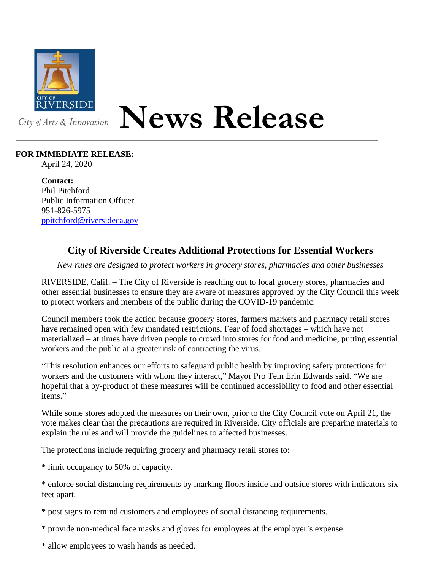

## **News Release**

## **FOR IMMEDIATE RELEASE:**

April 24, 2020

**Contact:** Phil Pitchford Public Information Officer 951-826-5975 [ppitchford@riversideca.gov](mailto:ppitchford@riversideca.gov)

## **City of Riverside Creates Additional Protections for Essential Workers**

*New rules are designed to protect workers in grocery stores, pharmacies and other businesses*

RIVERSIDE, Calif. – The City of Riverside is reaching out to local grocery stores, pharmacies and other essential businesses to ensure they are aware of measures approved by the City Council this week to protect workers and members of the public during the COVID-19 pandemic.

Council members took the action because grocery stores, farmers markets and pharmacy retail stores have remained open with few mandated restrictions. Fear of food shortages – which have not materialized – at times have driven people to crowd into stores for food and medicine, putting essential workers and the public at a greater risk of contracting the virus.

"This resolution enhances our efforts to safeguard public health by improving safety protections for workers and the customers with whom they interact," Mayor Pro Tem Erin Edwards said. "We are hopeful that a by-product of these measures will be continued accessibility to food and other essential items."

While some stores adopted the measures on their own, prior to the City Council vote on April 21, the vote makes clear that the precautions are required in Riverside. City officials are preparing materials to explain the rules and will provide the guidelines to affected businesses.

The protections include requiring grocery and pharmacy retail stores to:

\* limit occupancy to 50% of capacity.

\* enforce social distancing requirements by marking floors inside and outside stores with indicators six feet apart.

\* post signs to remind customers and employees of social distancing requirements.

\* provide non-medical face masks and gloves for employees at the employer's expense.

\* allow employees to wash hands as needed.